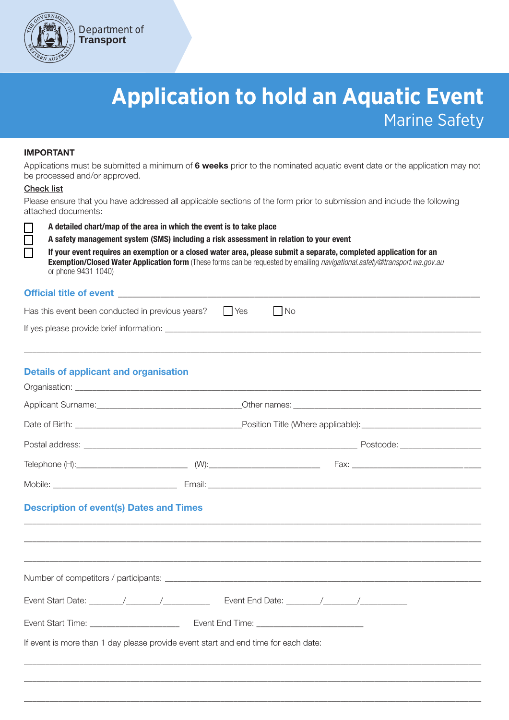

# **Application to hold an Aquatic Event** Marine Safety

## IMPORTANT

Applications must be submitted a minimum of 6 weeks prior to the nominated aquatic event date or the application may not be processed and/or approved.

#### Check list

Please ensure that you have addressed all applicable sections of the form prior to submission and include the following attached documents:

П

A detailed chart/map of the area in which the event is to take place

A safety management system (SMS) including a risk assessment in relation to your event

If your event requires an exemption or a closed water area, please submit a separate, completed application for an Exemption/Closed Water Application form (These forms can be requested by emailing navigational.safety@transport.wa.gov.au or phone 9431 1040)

# Official title of event

| Has this event been conducted in previous years? Fig. 1 Yes | l IN <sub>O</sub> |
|-------------------------------------------------------------|-------------------|
| If yes please provide brief information:                    |                   |

\_\_\_\_\_\_\_\_\_\_\_\_\_\_\_\_\_\_\_\_\_\_\_\_\_\_\_\_\_\_\_\_\_\_\_\_\_\_\_\_\_\_\_\_\_\_\_\_\_\_\_\_\_\_\_\_\_\_\_\_\_\_\_\_\_\_\_\_\_\_\_\_\_\_\_\_\_\_\_\_\_\_\_\_\_\_\_\_\_\_\_\_\_\_\_\_\_\_\_\_\_\_\_\_\_\_\_

# Details of applicant and organisation

| <b>Description of event(s) Dates and Times</b>                                     |  |  |  |
|------------------------------------------------------------------------------------|--|--|--|
|                                                                                    |  |  |  |
|                                                                                    |  |  |  |
|                                                                                    |  |  |  |
| If event is more than 1 day please provide event start and end time for each date: |  |  |  |
|                                                                                    |  |  |  |

\_\_\_\_\_\_\_\_\_\_\_\_\_\_\_\_\_\_\_\_\_\_\_\_\_\_\_\_\_\_\_\_\_\_\_\_\_\_\_\_\_\_\_\_\_\_\_\_\_\_\_\_\_\_\_\_\_\_\_\_\_\_\_\_\_\_\_\_\_\_\_\_\_\_\_\_\_\_\_\_\_\_\_\_\_\_\_\_\_\_\_\_\_\_\_\_\_\_\_\_\_\_\_\_\_\_\_